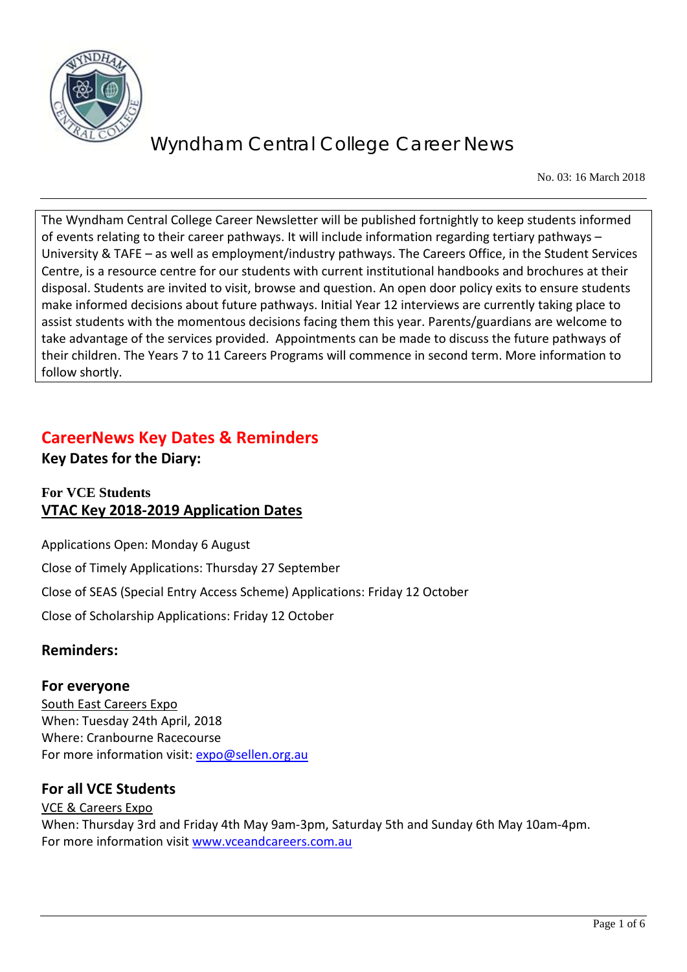

No. 03: 16 March 2018

The Wyndham Central College Career Newsletter will be published fortnightly to keep students informed of events relating to their career pathways. It will include information regarding tertiary pathways – University & TAFE – as well as employment/industry pathways. The Careers Office, in the Student Services Centre, is a resource centre for our students with current institutional handbooks and brochures at their disposal. Students are invited to visit, browse and question. An open door policy exits to ensure students make informed decisions about future pathways. Initial Year 12 interviews are currently taking place to assist students with the momentous decisions facing them this year. Parents/guardians are welcome to take advantage of the services provided. Appointments can be made to discuss the future pathways of their children. The Years 7 to 11 Careers Programs will commence in second term. More information to follow shortly.

### **CareerNews Key Dates & Reminders**

**Key Dates for the Diary:** 

### **For VCE Students VTAC Key 2018-2019 Application Dates**

Applications Open: Monday 6 August

Close of Timely Applications: Thursday 27 September

Close of SEAS (Special Entry Access Scheme) Applications: Friday 12 October

Close of Scholarship Applications: Friday 12 October

### **Reminders:**

#### **For everyone**

South East Careers Expo When: Tuesday 24th April, 2018 Where: Cranbourne Racecourse For more information visit: [expo@sellen.org.au](mailto:expo@sellen.org.au)

### **For all VCE Students**

VCE & Careers Expo When: Thursday 3rd and Friday 4th May 9am-3pm, Saturday 5th and Sunday 6th May 10am-4pm. For more information visit [www.vceandcareers.com.au](http://www.vceandcareers.com.au/)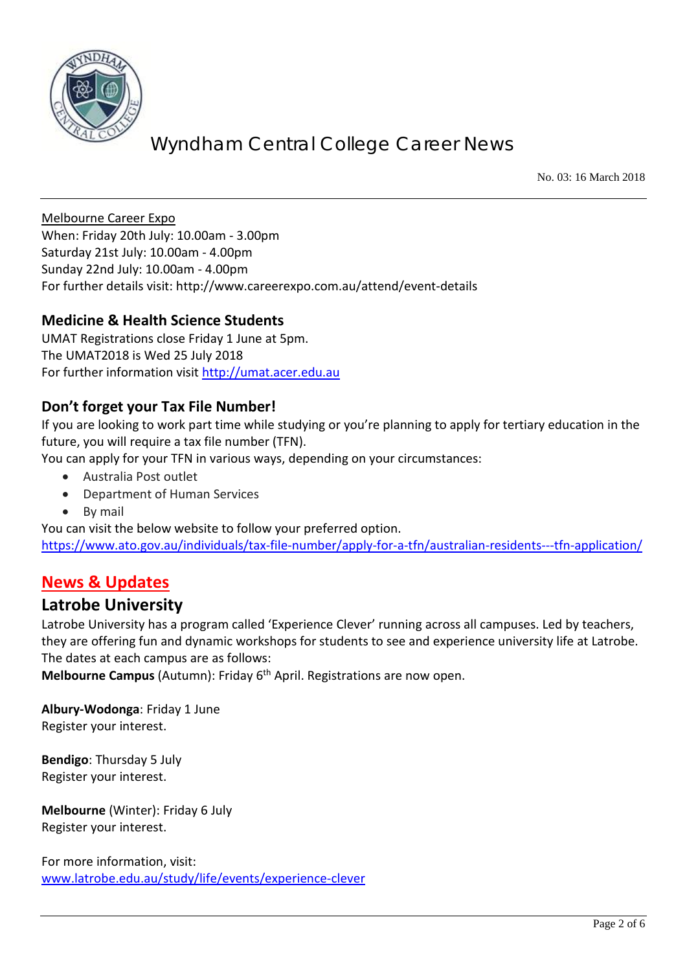

No. 03: 16 March 2018

Melbourne Career Expo When: Friday 20th July: 10.00am - 3.00pm Saturday 21st July: 10.00am - 4.00pm Sunday 22nd July: 10.00am - 4.00pm For further details visit:<http://www.careerexpo.com.au/attend/event-details>

#### **Medicine & Health Science Students**

UMAT Registrations close Friday 1 June at 5pm. The UMAT2018 is Wed 25 July 2018 For further information visit [http://umat.acer.edu.au](http://umat.acer.edu.au/)

#### **Don't forget your Tax File Number!**

If you are looking to work part time while studying or you're planning to apply for tertiary education in the future, you will require a tax file number (TFN).

You can apply for your TFN in various ways, depending on your circumstances:

- Australia Post outlet
- Department of Human Services
- By mail

You can visit the below website to follow your preferred option. <https://www.ato.gov.au/individuals/tax-file-number/apply-for-a-tfn/australian-residents---tfn-application/>

### **News & Updates**

#### **Latrobe University**

Latrobe University has a program called 'Experience Clever' running across all campuses. Led by teachers, they are offering fun and dynamic workshops for students to see and experience university life at Latrobe. The dates at each campus are as follows:

**Melbourne Campus** (Autumn): Friday 6<sup>th</sup> April. Registrations are now open.

**Albury-Wodonga**: Friday 1 June Register your interest.

**Bendigo**: Thursday 5 July Register your interest.

**Melbourne** (Winter): Friday 6 July Register your interest.

For more information, visit: [www.latrobe.edu.au/study/life/events/experience-clever](http://www.latrobe.edu.au/study/life/events/experience-clever)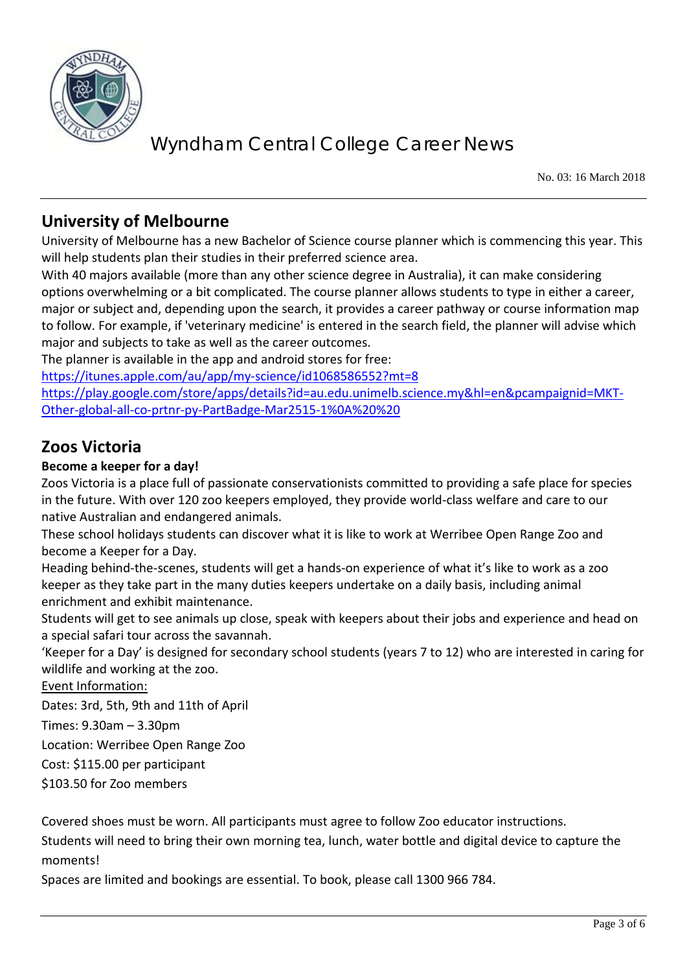

No. 03: 16 March 2018

### **University of Melbourne**

University of Melbourne has a new Bachelor of Science course planner which is commencing this year. This will help students plan their studies in their preferred science area.

With 40 majors available (more than any other science degree in Australia), it can make considering options overwhelming or a bit complicated. The course planner allows students to type in either a career, major or subject and, depending upon the search, it provides a career pathway or course information map to follow. For example, if 'veterinary medicine' is entered in the search field, the planner will advise which major and subjects to take as well as the career outcomes.

The planner is available in the app and android stores for free:

<https://itunes.apple.com/au/app/my-science/id1068586552?mt=8>

[https://play.google.com/store/apps/details?id=au.edu.unimelb.science.my&hl=en&pcampaignid=MKT-](https://play.google.com/store/apps/details?id=au.edu.unimelb.science.my&hl=en&pcampaignid=MKT-Other-global-all-co-prtnr-py-PartBadge-Mar2515-1%0A%20%20)[Other-global-all-co-prtnr-py-PartBadge-Mar2515-1%0A%20%20](https://play.google.com/store/apps/details?id=au.edu.unimelb.science.my&hl=en&pcampaignid=MKT-Other-global-all-co-prtnr-py-PartBadge-Mar2515-1%0A%20%20)

### **Zoos Victoria**

#### **Become a keeper for a day!**

Zoos Victoria is a place full of passionate conservationists committed to providing a safe place for species in the future. With over 120 zoo keepers employed, they provide world-class welfare and care to our native Australian and endangered animals.

These school holidays students can discover what it is like to work at Werribee Open Range Zoo and become a Keeper for a Day.

Heading behind-the-scenes, students will get a hands-on experience of what it's like to work as a zoo keeper as they take part in the many duties keepers undertake on a daily basis, including animal enrichment and exhibit maintenance.

Students will get to see animals up close, speak with keepers about their jobs and experience and head on a special safari tour across the savannah.

'Keeper for a Day' is designed for secondary school students (years 7 to 12) who are interested in caring for wildlife and working at the zoo.

Event Information:

Dates: 3rd, 5th, 9th and 11th of April

Times: 9.30am – 3.30pm

Location: Werribee Open Range Zoo

Cost: \$115.00 per participant

\$103.50 for Zoo members

Covered shoes must be worn. All participants must agree to follow Zoo educator instructions.

Students will need to bring their own morning tea, lunch, water bottle and digital device to capture the moments!

Spaces are limited and bookings are essential. To book, please call 1300 966 784.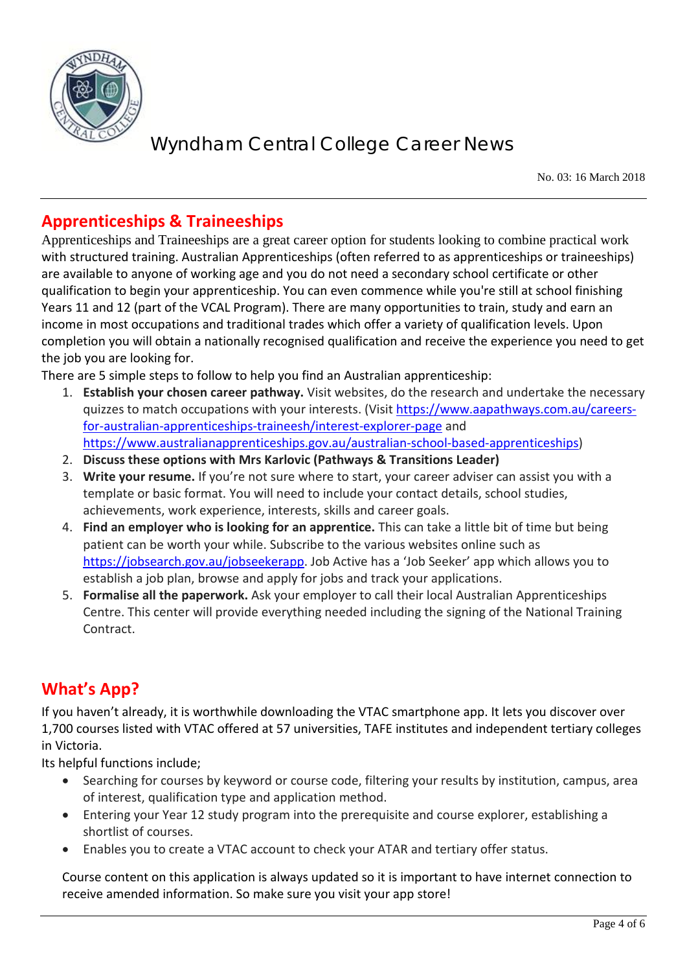

No. 03: 16 March 2018

### **Apprenticeships & Traineeships**

Apprenticeships and Traineeships are a great career option for students looking to combine practical work with structured training. Australian Apprenticeships (often referred to as apprenticeships or traineeships) are available to anyone of working age and you do not need a secondary school certificate or other qualification to begin your apprenticeship. You can even commence while you're still at school finishing Years 11 and 12 (part of the VCAL Program). There are many opportunities to train, study and earn an income in most occupations and traditional trades which offer a variety of qualification levels. Upon completion you will obtain a nationally recognised qualification and receive the experience you need to get the job you are looking for.

There are 5 simple steps to follow to help you find an Australian apprenticeship:

- 1. **Establish your chosen career pathway.** Visit websites, do the research and undertake the necessary quizzes to match occupations with your interests. (Visit [https://www.aapathways.com.au/careers](https://www.aapathways.com.au/careers-for-australian-apprenticeships-traineesh/interest-explorer-page)[for-australian-apprenticeships-traineesh/interest-explorer-page](https://www.aapathways.com.au/careers-for-australian-apprenticeships-traineesh/interest-explorer-page) and [https://www.australianapprenticeships.gov.au/australian-school-based-apprenticeships\)](https://www.australianapprenticeships.gov.au/australian-school-based-apprenticeships)
- 2. **Discuss these options with Mrs Karlovic (Pathways & Transitions Leader)**
- 3. **Write your resume.** If you're not sure where to start, your career adviser can assist you with a template or basic format. You will need to include your contact details, school studies, achievements, work experience, interests, skills and career goals.
- 4. **Find an employer who is looking for an apprentice.** This can take a little bit of time but being patient can be worth your while. Subscribe to the various websites online such as [https://jobsearch.gov.au/jobseekerapp.](https://jobsearch.gov.au/jobseekerapp) Job Active has a 'Job Seeker' app which allows you to establish a job plan, browse and apply for jobs and track your applications.
- 5. **Formalise all the paperwork.** Ask your employer to call their local Australian Apprenticeships Centre. This center will provide everything needed including the signing of the National Training Contract.

## **What's App?**

If you haven't already, it is worthwhile downloading the VTAC smartphone app. It lets you discover over 1,700 courses listed with VTAC offered at 57 universities, TAFE institutes and independent tertiary colleges in Victoria.

Its helpful functions include;

- Searching for courses by keyword or course code, filtering your results by institution, campus, area of interest, qualification type and application method.
- Entering your Year 12 study program into the prerequisite and course explorer, establishing a shortlist of courses.
- Enables you to create a VTAC account to check your ATAR and tertiary offer status.

Course content on this application is always updated so it is important to have internet connection to receive amended information. So make sure you visit your app store!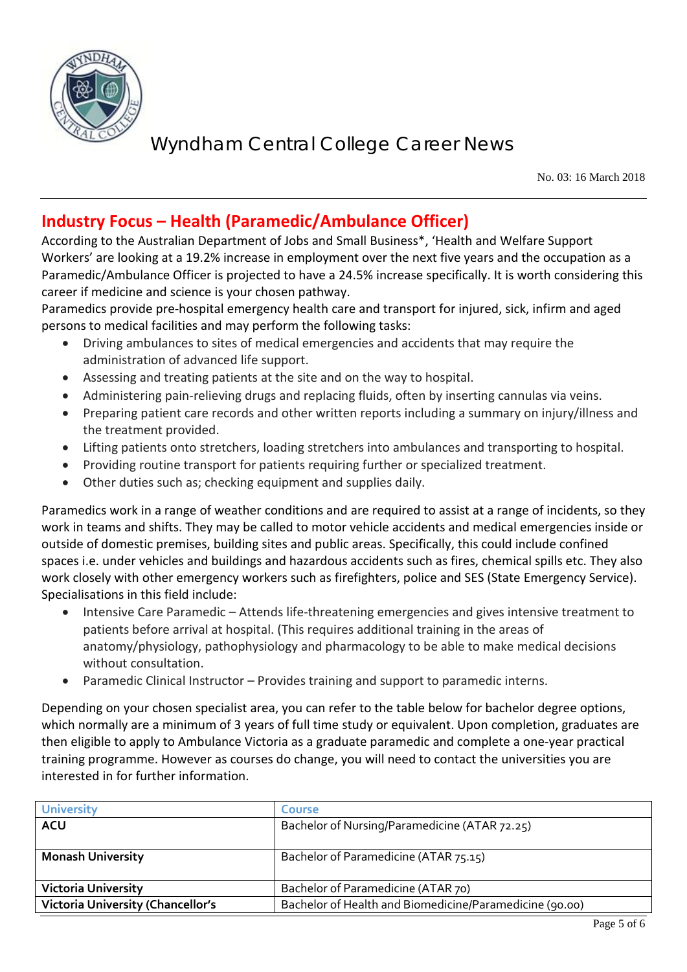

No. 03: 16 March 2018

## **Industry Focus – Health (Paramedic/Ambulance Officer)**

According to the Australian Department of Jobs and Small Business\*, 'Health and Welfare Support Workers' are looking at a 19.2% increase in employment over the next five years and the occupation as a Paramedic/Ambulance Officer is projected to have a 24.5% increase specifically. It is worth considering this career if medicine and science is your chosen pathway.

Paramedics provide pre-hospital emergency health care and transport for injured, sick, infirm and aged persons to medical facilities and may perform the following tasks:

- Driving ambulances to sites of medical emergencies and accidents that may require the administration of advanced life support.
- Assessing and treating patients at the site and on the way to hospital.
- Administering pain-relieving drugs and replacing fluids, often by inserting cannulas via veins.
- Preparing patient care records and other written reports including a summary on injury/illness and the treatment provided.
- Lifting patients onto stretchers, loading stretchers into ambulances and transporting to hospital.
- Providing routine transport for patients requiring further or specialized treatment.
- Other duties such as; checking equipment and supplies daily.

Paramedics work in a range of weather conditions and are required to assist at a range of incidents, so they work in teams and shifts. They may be called to motor vehicle accidents and medical emergencies inside or outside of domestic premises, building sites and public areas. Specifically, this could include confined spaces i.e. under vehicles and buildings and hazardous accidents such as fires, chemical spills etc. They also work closely with other emergency workers such as firefighters, police and SES (State Emergency Service). Specialisations in this field include:

- Intensive Care Paramedic Attends life-threatening emergencies and gives intensive treatment to patients before arrival at hospital. (This requires additional training in the areas of anatomy/physiology, pathophysiology and pharmacology to be able to make medical decisions without consultation.
- Paramedic Clinical Instructor Provides training and support to paramedic interns.

Depending on your chosen specialist area, you can refer to the table below for bachelor degree options, which normally are a minimum of 3 years of full time study or equivalent. Upon completion, graduates are then eligible to apply to Ambulance Victoria as a graduate paramedic and complete a one-year practical training programme. However as courses do change, you will need to contact the universities you are interested in for further information.

| <b>University</b>                        | <b>Course</b>                                           |
|------------------------------------------|---------------------------------------------------------|
| <b>ACU</b>                               | Bachelor of Nursing/Paramedicine (ATAR 72.25)           |
|                                          |                                                         |
| <b>Monash University</b>                 | Bachelor of Paramedicine (ATAR 75.15)                   |
|                                          |                                                         |
| <b>Victoria University</b>               | Bachelor of Paramedicine (ATAR 70)                      |
| <b>Victoria University (Chancellor's</b> | Bachelor of Health and Biomedicine/Paramedicine (90.00) |